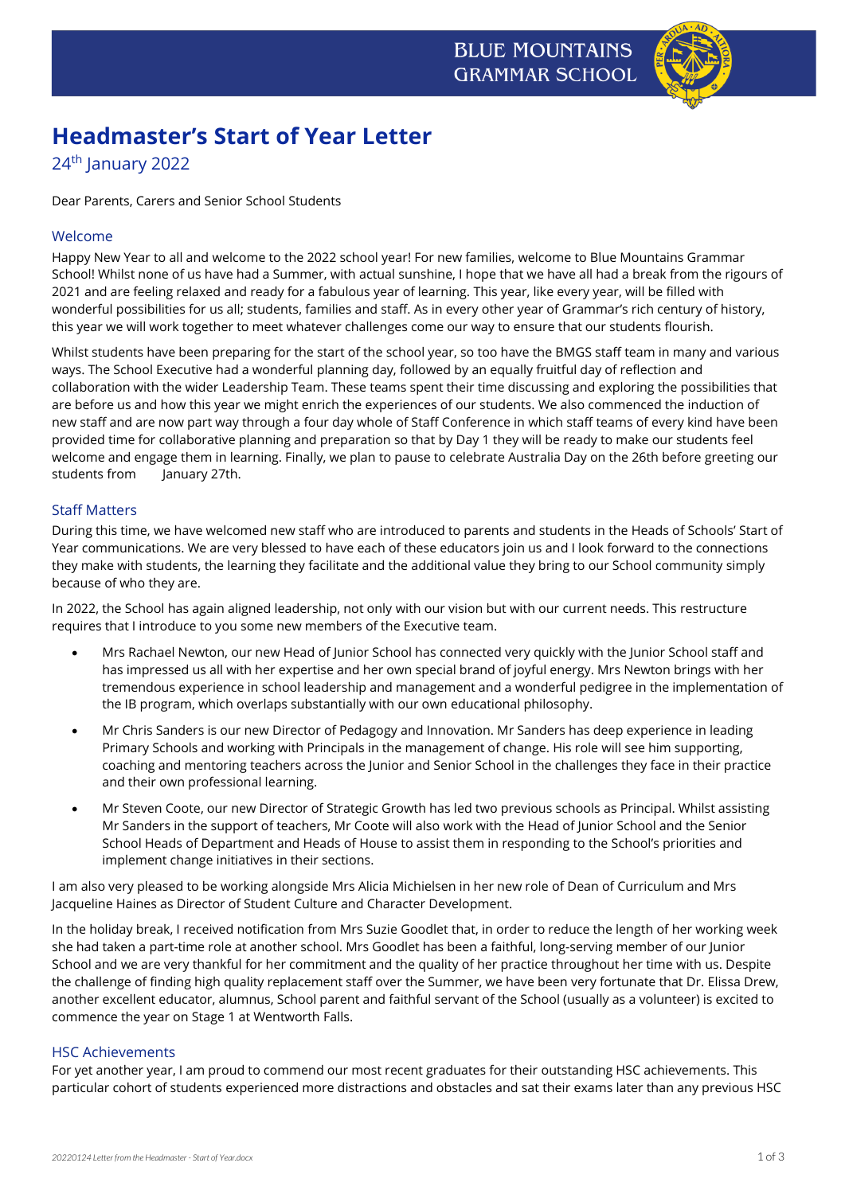

# **Headmaster's Start of Year Letter**

24<sup>th</sup> January 2022

Dear Parents, Carers and Senior School Students

# Welcome

Happy New Year to all and welcome to the 2022 school year! For new families, welcome to Blue Mountains Grammar School! Whilst none of us have had a Summer, with actual sunshine, I hope that we have all had a break from the rigours of 2021 and are feeling relaxed and ready for a fabulous year of learning. This year, like every year, will be filled with wonderful possibilities for us all; students, families and staff. As in every other year of Grammar's rich century of history, this year we will work together to meet whatever challenges come our way to ensure that our students flourish.

Whilst students have been preparing for the start of the school year, so too have the BMGS staff team in many and various ways. The School Executive had a wonderful planning day, followed by an equally fruitful day of reflection and collaboration with the wider Leadership Team. These teams spent their time discussing and exploring the possibilities that are before us and how this year we might enrich the experiences of our students. We also commenced the induction of new staff and are now part way through a four day whole of Staff Conference in which staff teams of every kind have been provided time for collaborative planning and preparation so that by Day 1 they will be ready to make our students feel welcome and engage them in learning. Finally, we plan to pause to celebrate Australia Day on the 26th before greeting our students from January 27th.

# Staff Matters

During this time, we have welcomed new staff who are introduced to parents and students in the Heads of Schools' Start of Year communications. We are very blessed to have each of these educators join us and I look forward to the connections they make with students, the learning they facilitate and the additional value they bring to our School community simply because of who they are.

In 2022, the School has again aligned leadership, not only with our vision but with our current needs. This restructure requires that I introduce to you some new members of the Executive team.

- Mrs Rachael Newton, our new Head of Junior School has connected very quickly with the Junior School staff and has impressed us all with her expertise and her own special brand of joyful energy. Mrs Newton brings with her tremendous experience in school leadership and management and a wonderful pedigree in the implementation of the IB program, which overlaps substantially with our own educational philosophy.
- Mr Chris Sanders is our new Director of Pedagogy and Innovation. Mr Sanders has deep experience in leading Primary Schools and working with Principals in the management of change. His role will see him supporting, coaching and mentoring teachers across the Junior and Senior School in the challenges they face in their practice and their own professional learning.
- Mr Steven Coote, our new Director of Strategic Growth has led two previous schools as Principal. Whilst assisting Mr Sanders in the support of teachers, Mr Coote will also work with the Head of Junior School and the Senior School Heads of Department and Heads of House to assist them in responding to the School's priorities and implement change initiatives in their sections.

I am also very pleased to be working alongside Mrs Alicia Michielsen in her new role of Dean of Curriculum and Mrs Jacqueline Haines as Director of Student Culture and Character Development.

In the holiday break, I received notification from Mrs Suzie Goodlet that, in order to reduce the length of her working week she had taken a part-time role at another school. Mrs Goodlet has been a faithful, long-serving member of our Junior School and we are very thankful for her commitment and the quality of her practice throughout her time with us. Despite the challenge of finding high quality replacement staff over the Summer, we have been very fortunate that Dr. Elissa Drew, another excellent educator, alumnus, School parent and faithful servant of the School (usually as a volunteer) is excited to commence the year on Stage 1 at Wentworth Falls.

#### HSC Achievements

For yet another year, I am proud to commend our most recent graduates for their outstanding HSC achievements. This particular cohort of students experienced more distractions and obstacles and sat their exams later than any previous HSC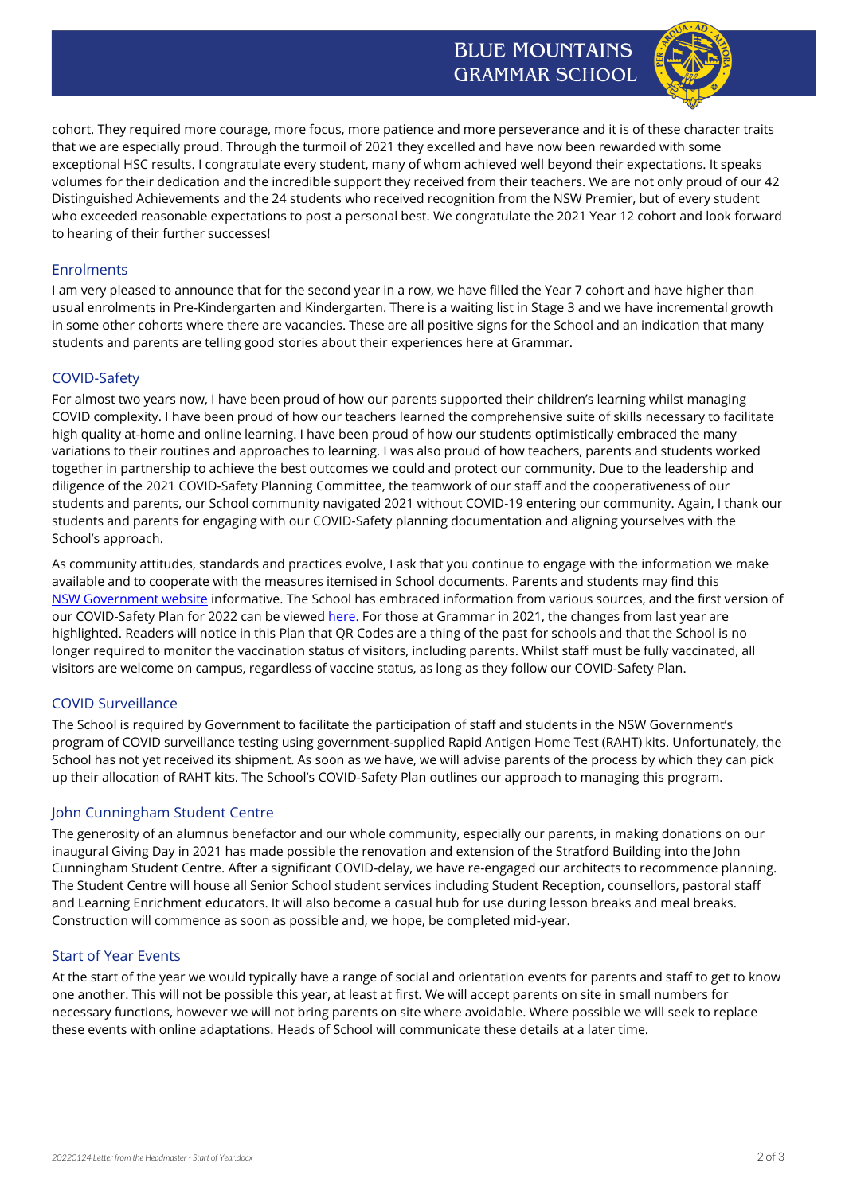# **BLUE MOUNTAINS GRAMMAR SCHOOL**



cohort. They required more courage, more focus, more patience and more perseverance and it is of these character traits that we are especially proud. Through the turmoil of 2021 they excelled and have now been rewarded with some exceptional HSC results. I congratulate every student, many of whom achieved well beyond their expectations. It speaks volumes for their dedication and the incredible support they received from their teachers. We are not only proud of our 42 Distinguished Achievements and the 24 students who received recognition from the NSW Premier, but of every student who exceeded reasonable expectations to post a personal best. We congratulate the 2021 Year 12 cohort and look forward to hearing of their further successes!

# **Enrolments**

I am very pleased to announce that for the second year in a row, we have filled the Year 7 cohort and have higher than usual enrolments in Pre-Kindergarten and Kindergarten. There is a waiting list in Stage 3 and we have incremental growth in some other cohorts where there are vacancies. These are all positive signs for the School and an indication that many students and parents are telling good stories about their experiences here at Grammar.

#### COVID-Safety

For almost two years now, I have been proud of how our parents supported their children's learning whilst managing COVID complexity. I have been proud of how our teachers learned the comprehensive suite of skills necessary to facilitate high quality at-home and online learning. I have been proud of how our students optimistically embraced the many variations to their routines and approaches to learning. I was also proud of how teachers, parents and students worked together in partnership to achieve the best outcomes we could and protect our community. Due to the leadership and diligence of the 2021 COVID-Safety Planning Committee, the teamwork of our staff and the cooperativeness of our students and parents, our School community navigated 2021 without COVID-19 entering our community. Again, I thank our students and parents for engaging with our COVID-Safety planning documentation and aligning yourselves with the School's approach.

As community attitudes, standards and practices evolve, I ask that you continue to engage with the information we make available and to cooperate with the measures itemised in School documents. Parents and students may find this [NSW Government website](https://view.comms.service.nsw.gov.au/?qs=35df1196842b55d583ff7268a4516fbc0936828c1f111a790cd14c0f0f7b8c5281c4474abac8dfccd06a32c119db22ef3878336659868a5563241105f52ef74b8c3ebb0c48fdc71c1866030d67046cb4) informative. The School has embraced information from various sources, and the first version of our COVID-Safety Plan for 2022 can be viewe[d here.](https://www.bmgs.nsw.edu.au/wp-content/uploads/2022/01/BMGS-COVID-Safety-Plan-V7.1-20220124-PUBLIC_.pdf) For those at Grammar in 2021, the changes from last year are highlighted. Readers will notice in this Plan that QR Codes are a thing of the past for schools and that the School is no longer required to monitor the vaccination status of visitors, including parents. Whilst staff must be fully vaccinated, all visitors are welcome on campus, regardless of vaccine status, as long as they follow our COVID-Safety Plan.

#### COVID Surveillance

The School is required by Government to facilitate the participation of staff and students in the NSW Government's program of COVID surveillance testing using government-supplied Rapid Antigen Home Test (RAHT) kits. Unfortunately, the School has not yet received its shipment. As soon as we have, we will advise parents of the process by which they can pick up their allocation of RAHT kits. The School's COVID-Safety Plan outlines our approach to managing this program.

#### John Cunningham Student Centre

The generosity of an alumnus benefactor and our whole community, especially our parents, in making donations on our inaugural Giving Day in 2021 has made possible the renovation and extension of the Stratford Building into the John Cunningham Student Centre. After a significant COVID-delay, we have re-engaged our architects to recommence planning. The Student Centre will house all Senior School student services including Student Reception, counsellors, pastoral staff and Learning Enrichment educators. It will also become a casual hub for use during lesson breaks and meal breaks. Construction will commence as soon as possible and, we hope, be completed mid-year.

#### Start of Year Events

At the start of the year we would typically have a range of social and orientation events for parents and staff to get to know one another. This will not be possible this year, at least at first. We will accept parents on site in small numbers for necessary functions, however we will not bring parents on site where avoidable. Where possible we will seek to replace these events with online adaptations. Heads of School will communicate these details at a later time.